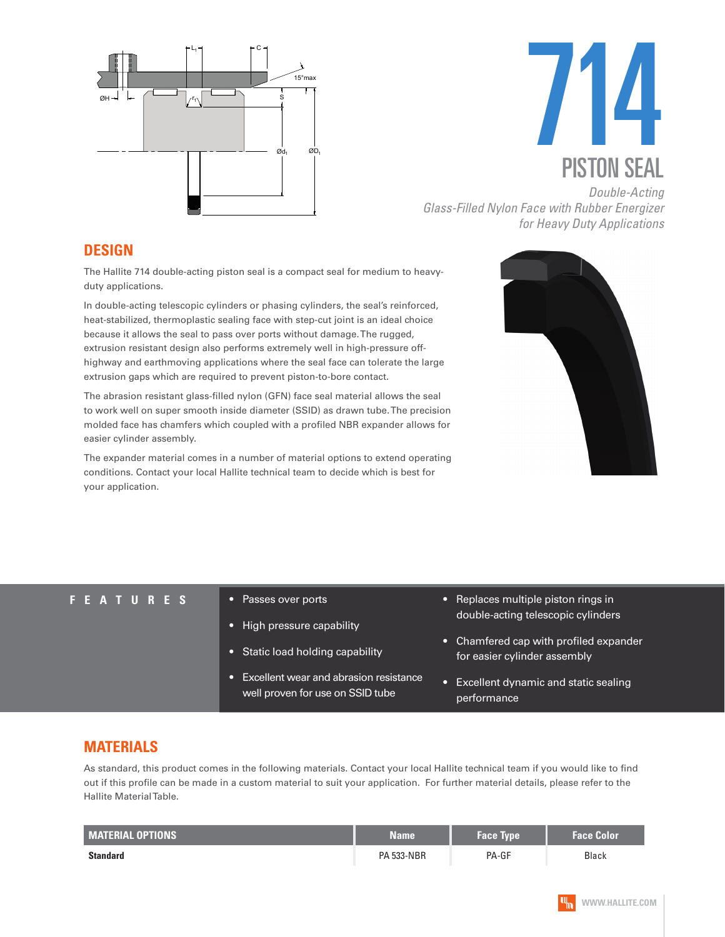



*Glass-Filled Nylon Face with Rubber Energizer for Heavy Duty Applications*

### **DESIGN**

The Hallite 714 double-acting piston seal is a compact seal for medium to heavyduty applications.

In double-acting telescopic cylinders or phasing cylinders, the seal's reinforced, heat-stabilized, thermoplastic sealing face with step-cut joint is an ideal choice because it allows the seal to pass over ports without damage. The rugged, extrusion resistant design also performs extremely well in high-pressure offhighway and earthmoving applications where the seal face can tolerate the large extrusion gaps which are required to prevent piston-to-bore contact.

The abrasion resistant glass-filled nylon (GFN) face seal material allows the seal to work well on super smooth inside diameter (SSID) as drawn tube. The precision molded face has chamfers which coupled with a profiled NBR expander allows for easier cylinder assembly.

The expander material comes in a number of material options to extend operating conditions. Contact your local Hallite technical team to decide which is best for your application.



#### **FEATURES** • Passes over ports

- 
- High pressure capability
- Static load holding capability
- Excellent wear and abrasion resistance well proven for use on SSID tube
- Replaces multiple piston rings in double-acting telescopic cylinders
- Chamfered cap with profiled expander for easier cylinder assembly
- Excellent dynamic and static sealing performance

### **MATERIALS**

As standard, this product comes in the following materials. Contact your local Hallite technical team if you would like to find out if this profile can be made in a custom material to suit your application. For further material details, please refer to the Hallite Material Table.

| <b>MATERIAL OPTIONS</b> | Name              | Face Type | <b>Face Color</b> |  |
|-------------------------|-------------------|-----------|-------------------|--|
| <b>Standard</b>         | <b>PA 533-NBR</b> | PA-GF     | <b>Black</b>      |  |

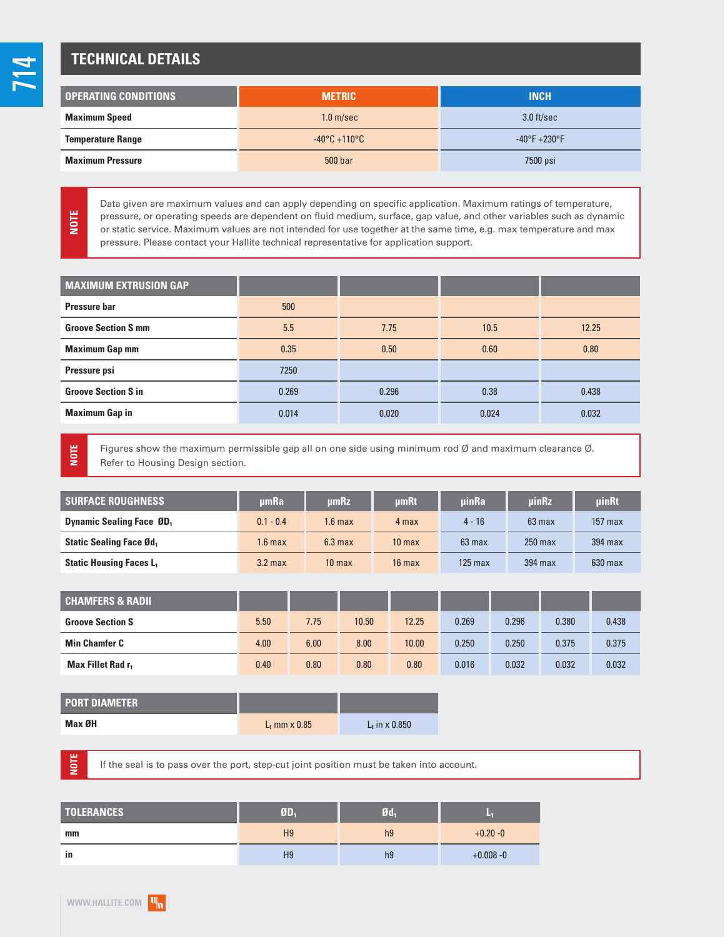## **TECHNICAL DETAILS**

| <b>OPERATING CONDITIONS</b> | <b>METRIC</b>                   | <b>INCH</b>                       |  |
|-----------------------------|---------------------------------|-----------------------------------|--|
| <b>Maximum Speed</b>        | 1.0 <sub>m/sec</sub>            | $3.0$ ft/sec                      |  |
| <b>Temperature Range</b>    | $-40\degree$ C +110 $\degree$ C | $-40^{\circ}$ F +230 $^{\circ}$ F |  |
| <b>Maximum Pressure</b>     | 500 bar                         | 7500 psi                          |  |

Data given are maximum values and can apply depending on specific application. Maximum ratings of temperature, pressure, or operating speeds are dependent on fluid medium, surface, gap value, and other variables such as dynamic or static service. Maximum values are not intended for use together at the same time, e.g. max temperature and max pressure. Please contact your Hallite technical representative for application support.

| <b>MAXIMUM EXTRUSION GAP</b> |       |       |       |       |
|------------------------------|-------|-------|-------|-------|
|                              |       |       |       |       |
| Pressure bar                 | 500   |       |       |       |
| <b>Groove Section S mm</b>   | 5.5   | 7.75  | 10.5  | 12.25 |
| <b>Maximum Gap mm</b>        | 0.35  | 0.50  | 0.60  | 0.80  |
| Pressure psi                 | 7250  |       |       |       |
| <b>Groove Section S in</b>   | 0.269 | 0.296 | 0.38  | 0.438 |
| <b>Maximum Gap in</b>        | 0.014 | 0.020 | 0.024 | 0.032 |

**NOTE**

**NOTE**

Figures show the maximum permissible gap all on one side using minimum rod Ø and maximum clearance Ø. Refer to Housing Design section.

| <b>SURFACE ROUGHNESS</b>                  | umRa               | umRz               | <b>umRt</b>       | uinRa            | uinRz            | <b>uinRt</b> |
|-------------------------------------------|--------------------|--------------------|-------------------|------------------|------------------|--------------|
| <b>Dynamic Sealing Face ØD</b> ,          | $0.1 - 0.4$        | 1.6 max            | 4 max             | $4 - 16$         | $63 \text{ max}$ | $157$ max    |
| <b>Static Sealing Face Ød,</b>            | $1.6$ max          | 6.3 <sub>max</sub> | 10 <sub>max</sub> | $63 \text{ max}$ | $250$ max        | 394 max      |
| <b>Static Housing Faces L<sub>1</sub></b> | 3.2 <sub>max</sub> | 10 <sub>max</sub>  | $16$ max          | $125$ max        | 394 max          | $630$ max    |

| <b>CHAMFERS &amp; RADIL</b>   |      |      |       |       |       |       |       |       |
|-------------------------------|------|------|-------|-------|-------|-------|-------|-------|
| <b>Groove Section S</b>       | 5.50 | 7.75 | 10.50 | 12.25 | 0.269 | 0.296 | 0.380 | 0.438 |
| <b>Min Chamfer C</b>          | 4.00 | 6.00 | 8.00  | 10.00 | 0.250 | 0.250 | 0.375 | 0.375 |
| Max Fillet Rad r <sub>1</sub> | 0.40 | 0.80 | 0.80  | 0.80  | 0.016 | 0.032 | 0.032 | 0.032 |

| <b>PORT DIAMETER</b> |                 |                  |
|----------------------|-----------------|------------------|
| Max ØH               | $L_1$ mm x 0.85 | $L_1$ in x 0.850 |

If the seal is to pass over the port, step-cut joint position must be taken into account.

| <b>TOLERANCES</b> | ØD.            | $\mathfrak{gd}_1$ | ×            |
|-------------------|----------------|-------------------|--------------|
| mm                | H <sub>9</sub> | h <sub>9</sub>    | $+0.20 - 0$  |
| in                | H <sub>9</sub> | h9                | $+0.008 - 0$ |

**NOTE**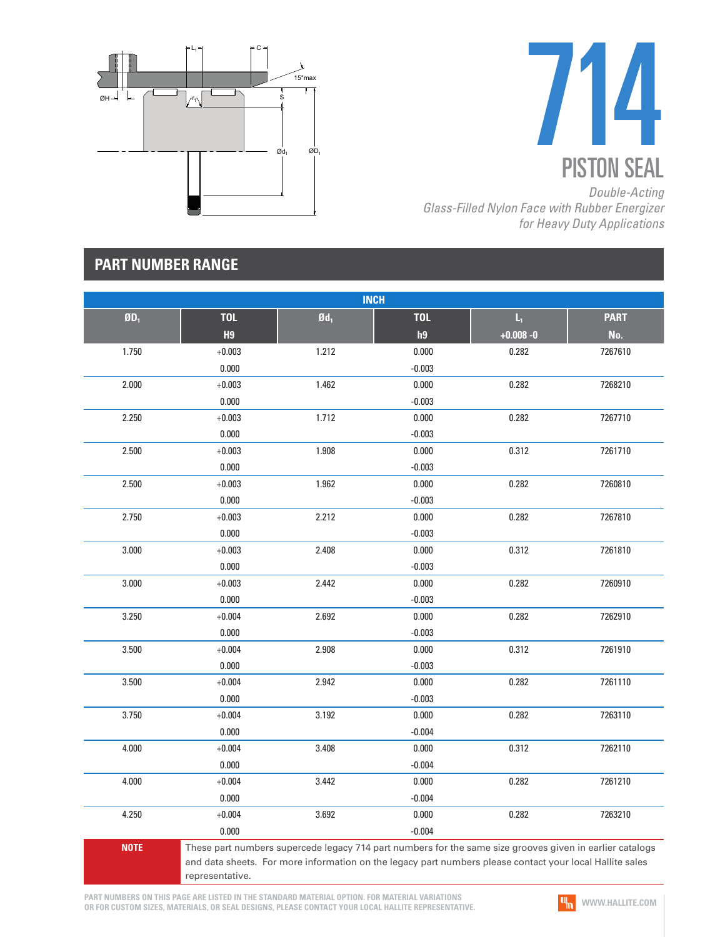



*Glass-Filled Nylon Face with Rubber Energizer for Heavy Duty Applications*

### **PART NUMBER RANGE**

| <b>INCH</b>      |                                                                                                                                                                                                                                         |                 |            |              |             |  |
|------------------|-----------------------------------------------------------------------------------------------------------------------------------------------------------------------------------------------------------------------------------------|-----------------|------------|--------------|-------------|--|
| \$0 <sub>1</sub> | <b>TOL</b>                                                                                                                                                                                                                              | $\mathbf{0d}_1$ | <b>TOL</b> | L,           | <b>PART</b> |  |
|                  | H <sub>9</sub>                                                                                                                                                                                                                          |                 | h9         | $+0.008 - 0$ | No.         |  |
| 1.750            | $+0.003$                                                                                                                                                                                                                                | 1.212           | 0.000      | 0.282        | 7267610     |  |
|                  | 0.000                                                                                                                                                                                                                                   |                 | $-0.003$   |              |             |  |
| 2.000            | $+0.003$                                                                                                                                                                                                                                | 1.462           | 0.000      | 0.282        | 7268210     |  |
|                  | 0.000                                                                                                                                                                                                                                   |                 | $-0.003$   |              |             |  |
| 2.250            | $+0.003$                                                                                                                                                                                                                                | 1.712           | 0.000      | 0.282        | 7267710     |  |
|                  | 0.000                                                                                                                                                                                                                                   |                 | $-0.003$   |              |             |  |
| 2.500            | $+0.003$                                                                                                                                                                                                                                | 1.908           | 0.000      | 0.312        | 7261710     |  |
|                  | 0.000                                                                                                                                                                                                                                   |                 | $-0.003$   |              |             |  |
| 2.500            | $+0.003$                                                                                                                                                                                                                                | 1.962           | 0.000      | 0.282        | 7260810     |  |
|                  | 0.000                                                                                                                                                                                                                                   |                 | $-0.003$   |              |             |  |
| 2.750            | $+0.003$                                                                                                                                                                                                                                | 2.212           | 0.000      | 0.282        | 7267810     |  |
|                  | 0.000                                                                                                                                                                                                                                   |                 | $-0.003$   |              |             |  |
| 3.000            | $+0.003$                                                                                                                                                                                                                                | 2.408           | 0.000      | 0.312        | 7261810     |  |
|                  | 0.000                                                                                                                                                                                                                                   |                 | $-0.003$   |              |             |  |
| 3.000            | $+0.003$                                                                                                                                                                                                                                | 2.442           | 0.000      | 0.282        | 7260910     |  |
|                  | 0.000                                                                                                                                                                                                                                   |                 | $-0.003$   |              |             |  |
| 3.250            | $+0.004$                                                                                                                                                                                                                                | 2.692           | 0.000      | 0.282        | 7262910     |  |
|                  | 0.000                                                                                                                                                                                                                                   |                 | $-0.003$   |              |             |  |
| 3.500            | $+0.004$                                                                                                                                                                                                                                | 2.908           | 0.000      | 0.312        | 7261910     |  |
|                  | 0.000                                                                                                                                                                                                                                   |                 | $-0.003$   |              |             |  |
| 3.500            | $+0.004$                                                                                                                                                                                                                                | 2.942           | 0.000      | 0.282        | 7261110     |  |
|                  | 0.000                                                                                                                                                                                                                                   |                 | $-0.003$   |              |             |  |
| 3.750            | $+0.004$                                                                                                                                                                                                                                | 3.192           | 0.000      | 0.282        | 7263110     |  |
|                  | 0.000                                                                                                                                                                                                                                   |                 | $-0.004$   |              |             |  |
| 4.000            | $+0.004$                                                                                                                                                                                                                                | 3.408           | 0.000      | 0.312        | 7262110     |  |
|                  | 0.000                                                                                                                                                                                                                                   |                 | $-0.004$   |              |             |  |
| 4.000            | $+0.004$                                                                                                                                                                                                                                | 3.442           | 0.000      | 0.282        | 7261210     |  |
|                  | 0.000                                                                                                                                                                                                                                   |                 | $-0.004$   |              |             |  |
| 4.250            | $+0.004$                                                                                                                                                                                                                                | 3.692           | 0.000      | 0.282        | 7263210     |  |
|                  | 0.000                                                                                                                                                                                                                                   |                 | $-0.004$   |              |             |  |
| <b>NOTE</b>      | These part numbers supercede legacy 714 part numbers for the same size grooves given in earlier catalogs<br>and data sheets. For more information on the legacy part numbers please contact your local Hallite sales<br>representative. |                 |            |              |             |  |

**PART NUMBERS ON THIS PAGE ARE LISTED IN THE STANDARD MATERIAL OPTION. FOR MATERIAL VARIATIONS OR FOR CUSTOM SIZES, MATERIALS, OR SEAL DESIGNS, PLEASE CONTACT YOUR LOCAL HALLITE REPRESENTATIVE.**